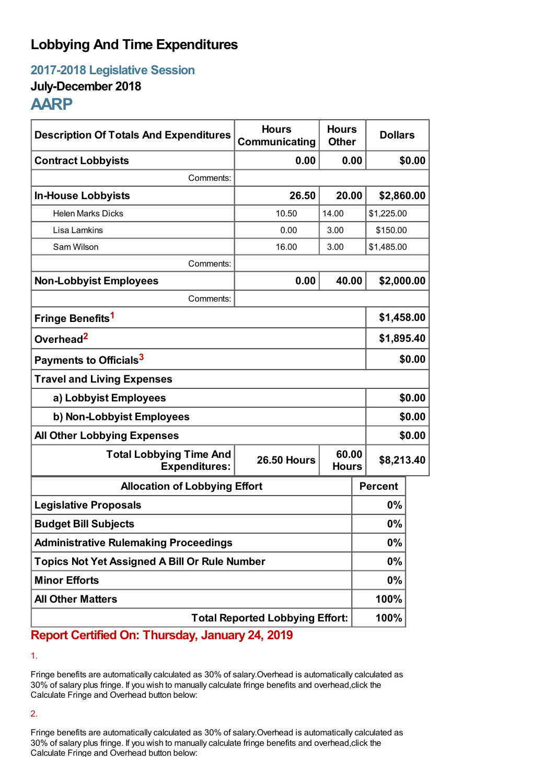# **Lobbying And Time Expenditures**

**2017-2018 Legislative Session**

### **July-December 2018**

## **AARP**

| <b>Description Of Totals And Expenditures</b>          | <b>Hours</b><br>Communicating | <b>Hours</b><br><b>Other</b> | <b>Dollars</b> |            |  |
|--------------------------------------------------------|-------------------------------|------------------------------|----------------|------------|--|
| <b>Contract Lobbyists</b>                              | 0.00                          | 0.00                         |                | \$0.00     |  |
| Comments:                                              |                               |                              |                |            |  |
| <b>In-House Lobbyists</b>                              | 26.50                         | 20.00                        | \$2,860.00     |            |  |
| <b>Helen Marks Dicks</b>                               | 10.50                         | 14.00                        | \$1,225.00     |            |  |
| Lisa Lamkins                                           | 0.00                          | 3.00                         |                | \$150.00   |  |
| Sam Wilson                                             | 16.00                         | 3.00                         | \$1,485.00     |            |  |
| Comments:                                              |                               |                              |                |            |  |
| <b>Non-Lobbyist Employees</b>                          | 0.00                          | 40.00                        | \$2,000.00     |            |  |
| Comments:                                              |                               |                              |                |            |  |
| Fringe Benefits <sup>1</sup>                           |                               |                              |                | \$1,458.00 |  |
| Overhead <sup>2</sup>                                  |                               |                              |                | \$1,895.40 |  |
| Payments to Officials <sup>3</sup>                     |                               |                              |                | \$0.00     |  |
| <b>Travel and Living Expenses</b>                      |                               |                              |                |            |  |
| a) Lobbyist Employees                                  |                               |                              |                | \$0.00     |  |
| b) Non-Lobbyist Employees                              |                               |                              |                | \$0.00     |  |
| <b>All Other Lobbying Expenses</b>                     |                               |                              |                | \$0.00     |  |
| <b>Total Lobbying Time And</b><br><b>Expenditures:</b> | <b>26.50 Hours</b>            | 60.00<br><b>Hours</b>        | \$8,213.40     |            |  |
| <b>Allocation of Lobbying Effort</b>                   |                               |                              | <b>Percent</b> |            |  |
| <b>Legislative Proposals</b>                           |                               |                              | $0\%$          |            |  |
| <b>Budget Bill Subjects</b>                            |                               |                              | 0%             |            |  |
| <b>Administrative Rulemaking Proceedings</b>           |                               |                              | 0%             |            |  |
| <b>Topics Not Yet Assigned A Bill Or Rule Number</b>   |                               |                              | $0\%$          |            |  |
| <b>Minor Efforts</b>                                   |                               |                              | $0\%$          |            |  |
| <b>All Other Matters</b>                               |                               |                              | 100%           |            |  |
| <b>Total Reported Lobbying Effort:</b>                 |                               |                              | 100%           |            |  |

**Report Certified On: Thursday, January 24, 2019**

1.

Fringe benefits are automatically calculated as 30% of salary.Overhead is automatically calculated as 30% of salary plus fringe. If you wish to manually calculate fringe benefits and overhead,click the Calculate Fringe and Overhead button below:

2.

Fringe benefits are automatically calculated as 30% of salary.Overhead is automatically calculated as 30% of salary plus fringe. If you wish to manually calculate fringe benefits and overhead,click the Calculate Fringe and Overhead button below: